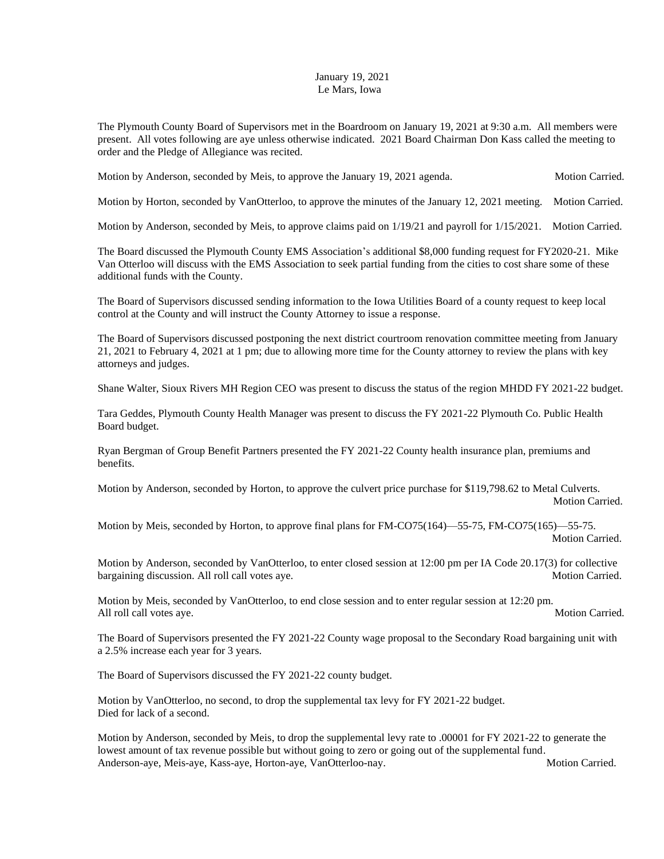## January 19, 2021 Le Mars, Iowa

The Plymouth County Board of Supervisors met in the Boardroom on January 19, 2021 at 9:30 a.m. All members were present. All votes following are aye unless otherwise indicated. 2021 Board Chairman Don Kass called the meeting to order and the Pledge of Allegiance was recited.

Motion by Anderson, seconded by Meis, to approve the January 19, 2021 agenda. Motion Carried.

Motion by Horton, seconded by VanOtterloo, to approve the minutes of the January 12, 2021 meeting. Motion Carried.

Motion by Anderson, seconded by Meis, to approve claims paid on 1/19/21 and payroll for 1/15/2021. Motion Carried.

The Board discussed the Plymouth County EMS Association's additional \$8,000 funding request for FY2020-21. Mike Van Otterloo will discuss with the EMS Association to seek partial funding from the cities to cost share some of these additional funds with the County.

The Board of Supervisors discussed sending information to the Iowa Utilities Board of a county request to keep local control at the County and will instruct the County Attorney to issue a response.

The Board of Supervisors discussed postponing the next district courtroom renovation committee meeting from January 21, 2021 to February 4, 2021 at 1 pm; due to allowing more time for the County attorney to review the plans with key attorneys and judges.

Shane Walter, Sioux Rivers MH Region CEO was present to discuss the status of the region MHDD FY 2021-22 budget.

Tara Geddes, Plymouth County Health Manager was present to discuss the FY 2021-22 Plymouth Co. Public Health Board budget.

Ryan Bergman of Group Benefit Partners presented the FY 2021-22 County health insurance plan, premiums and benefits.

Motion by Anderson, seconded by Horton, to approve the culvert price purchase for \$119,798.62 to Metal Culverts. Motion Carried.

Motion by Meis, seconded by Horton, to approve final plans for FM-CO75(164)—55-75, FM-CO75(165)—55-75. Motion Carried.

Motion by Anderson, seconded by VanOtterloo, to enter closed session at 12:00 pm per IA Code 20.17(3) for collective bargaining discussion. All roll call votes aye. Notion Carried. Motion Carried.

Motion by Meis, seconded by VanOtterloo, to end close session and to enter regular session at 12:20 pm. All roll call votes aye. Motion Carried.

The Board of Supervisors presented the FY 2021-22 County wage proposal to the Secondary Road bargaining unit with a 2.5% increase each year for 3 years.

The Board of Supervisors discussed the FY 2021-22 county budget.

Motion by VanOtterloo, no second, to drop the supplemental tax levy for FY 2021-22 budget. Died for lack of a second.

Motion by Anderson, seconded by Meis, to drop the supplemental levy rate to .00001 for FY 2021-22 to generate the lowest amount of tax revenue possible but without going to zero or going out of the supplemental fund. Anderson-aye, Meis-aye, Kass-aye, Horton-aye, VanOtterloo-nay. Motion Carried. Motion Carried.